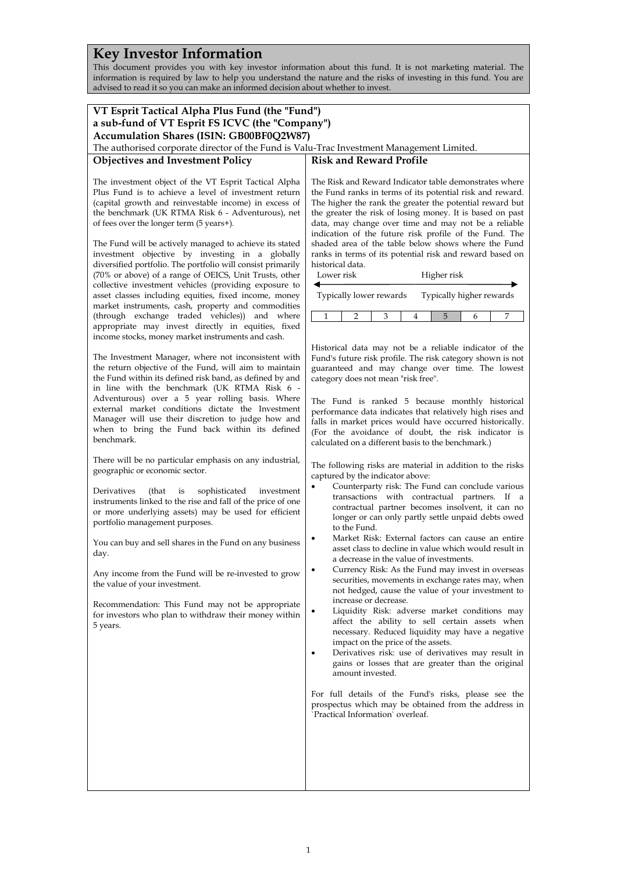# **Key Investor Information**

This document provides you with key investor information about this fund. It is not marketing material. The information is required by law to help you understand the nature and the risks of investing in this fund. You are advised to read it so you can make an informed decision about whether to invest.

| VT Esprit Tactical Alpha Plus Fund (the "Fund")<br>a sub-fund of VT Esprit FS ICVC (the "Company")<br>Accumulation Shares (ISIN: GB00BF0Q2W87)                                                                                                                                                                                                                                                                                                                                                                                                                                                                                                                                                                                                                                                                                                                                                                                                                                                                                                                                                                        |                                                                                                                                                                                                                                                                                                                                                                                                                                                                                                                                                                                                                                                                                                                                                                                                                                                                                                                                                                                                                                                                                                                                                                                                                                                                                                                                                                                                                                                                                                                                                                                                                                                                                            |  |
|-----------------------------------------------------------------------------------------------------------------------------------------------------------------------------------------------------------------------------------------------------------------------------------------------------------------------------------------------------------------------------------------------------------------------------------------------------------------------------------------------------------------------------------------------------------------------------------------------------------------------------------------------------------------------------------------------------------------------------------------------------------------------------------------------------------------------------------------------------------------------------------------------------------------------------------------------------------------------------------------------------------------------------------------------------------------------------------------------------------------------|--------------------------------------------------------------------------------------------------------------------------------------------------------------------------------------------------------------------------------------------------------------------------------------------------------------------------------------------------------------------------------------------------------------------------------------------------------------------------------------------------------------------------------------------------------------------------------------------------------------------------------------------------------------------------------------------------------------------------------------------------------------------------------------------------------------------------------------------------------------------------------------------------------------------------------------------------------------------------------------------------------------------------------------------------------------------------------------------------------------------------------------------------------------------------------------------------------------------------------------------------------------------------------------------------------------------------------------------------------------------------------------------------------------------------------------------------------------------------------------------------------------------------------------------------------------------------------------------------------------------------------------------------------------------------------------------|--|
|                                                                                                                                                                                                                                                                                                                                                                                                                                                                                                                                                                                                                                                                                                                                                                                                                                                                                                                                                                                                                                                                                                                       |                                                                                                                                                                                                                                                                                                                                                                                                                                                                                                                                                                                                                                                                                                                                                                                                                                                                                                                                                                                                                                                                                                                                                                                                                                                                                                                                                                                                                                                                                                                                                                                                                                                                                            |  |
|                                                                                                                                                                                                                                                                                                                                                                                                                                                                                                                                                                                                                                                                                                                                                                                                                                                                                                                                                                                                                                                                                                                       |                                                                                                                                                                                                                                                                                                                                                                                                                                                                                                                                                                                                                                                                                                                                                                                                                                                                                                                                                                                                                                                                                                                                                                                                                                                                                                                                                                                                                                                                                                                                                                                                                                                                                            |  |
| The investment object of the VT Esprit Tactical Alpha<br>Plus Fund is to achieve a level of investment return<br>(capital growth and reinvestable income) in excess of<br>the benchmark (UK RTMA Risk 6 - Adventurous), net<br>of fees over the longer term (5 years+).<br>The Fund will be actively managed to achieve its stated<br>investment objective by investing in a globally<br>diversified portfolio. The portfolio will consist primarily<br>(70% or above) of a range of OEICS, Unit Trusts, other                                                                                                                                                                                                                                                                                                                                                                                                                                                                                                                                                                                                        | The Risk and Reward Indicator table demonstrates where<br>the Fund ranks in terms of its potential risk and reward.<br>The higher the rank the greater the potential reward but<br>the greater the risk of losing money. It is based on past<br>data, may change over time and may not be a reliable<br>indication of the future risk profile of the Fund. The<br>shaded area of the table below shows where the Fund<br>ranks in terms of its potential risk and reward based on<br>historical data.<br>Lower risk<br>Higher risk                                                                                                                                                                                                                                                                                                                                                                                                                                                                                                                                                                                                                                                                                                                                                                                                                                                                                                                                                                                                                                                                                                                                                         |  |
| collective investment vehicles (providing exposure to<br>asset classes including equities, fixed income, money                                                                                                                                                                                                                                                                                                                                                                                                                                                                                                                                                                                                                                                                                                                                                                                                                                                                                                                                                                                                        | Typically lower rewards<br>Typically higher rewards                                                                                                                                                                                                                                                                                                                                                                                                                                                                                                                                                                                                                                                                                                                                                                                                                                                                                                                                                                                                                                                                                                                                                                                                                                                                                                                                                                                                                                                                                                                                                                                                                                        |  |
| market instruments, cash, property and commodities                                                                                                                                                                                                                                                                                                                                                                                                                                                                                                                                                                                                                                                                                                                                                                                                                                                                                                                                                                                                                                                                    |                                                                                                                                                                                                                                                                                                                                                                                                                                                                                                                                                                                                                                                                                                                                                                                                                                                                                                                                                                                                                                                                                                                                                                                                                                                                                                                                                                                                                                                                                                                                                                                                                                                                                            |  |
| (through exchange traded vehicles)) and where<br>appropriate may invest directly in equities, fixed                                                                                                                                                                                                                                                                                                                                                                                                                                                                                                                                                                                                                                                                                                                                                                                                                                                                                                                                                                                                                   | $\mathbf{1}$<br>5<br>2<br>3<br>7<br>4<br>6                                                                                                                                                                                                                                                                                                                                                                                                                                                                                                                                                                                                                                                                                                                                                                                                                                                                                                                                                                                                                                                                                                                                                                                                                                                                                                                                                                                                                                                                                                                                                                                                                                                 |  |
| income stocks, money market instruments and cash.<br>The Investment Manager, where not inconsistent with<br>the return objective of the Fund, will aim to maintain<br>the Fund within its defined risk band, as defined by and<br>in line with the benchmark (UK RTMA Risk 6 -<br>Adventurous) over a 5 year rolling basis. Where<br>external market conditions dictate the Investment<br>Manager will use their discretion to judge how and<br>when to bring the Fund back within its defined<br>benchmark.<br>There will be no particular emphasis on any industrial,<br>geographic or economic sector.<br>Derivatives<br>(that)<br>is<br>sophisticated<br>investment<br>instruments linked to the rise and fall of the price of one<br>or more underlying assets) may be used for efficient<br>portfolio management purposes.<br>You can buy and sell shares in the Fund on any business<br>day.<br>Any income from the Fund will be re-invested to grow<br>the value of your investment.<br>Recommendation: This Fund may not be appropriate<br>for investors who plan to withdraw their money within<br>5 years. | Historical data may not be a reliable indicator of the<br>Fund's future risk profile. The risk category shown is not<br>guaranteed and may change over time. The lowest<br>category does not mean "risk free".<br>The Fund is ranked 5 because monthly historical<br>performance data indicates that relatively high rises and<br>falls in market prices would have occurred historically.<br>(For the avoidance of doubt, the risk indicator is<br>calculated on a different basis to the benchmark.)<br>The following risks are material in addition to the risks<br>captured by the indicator above:<br>Counterparty risk: The Fund can conclude various<br>$\bullet$<br>transactions with contractual partners. If a<br>contractual partner becomes insolvent, it can no<br>longer or can only partly settle unpaid debts owed<br>to the Fund.<br>Market Risk: External factors can cause an entire<br>٠<br>asset class to decline in value which would result in<br>a decrease in the value of investments.<br>Currency Risk: As the Fund may invest in overseas<br>securities, movements in exchange rates may, when<br>not hedged, cause the value of your investment to<br>increase or decrease.<br>Liquidity Risk: adverse market conditions may<br>affect the ability to sell certain assets when<br>necessary. Reduced liquidity may have a negative<br>impact on the price of the assets.<br>Derivatives risk: use of derivatives may result in<br>gains or losses that are greater than the original<br>amount invested.<br>For full details of the Fund's risks, please see the<br>prospectus which may be obtained from the address in<br>'Practical Information' overleaf. |  |
|                                                                                                                                                                                                                                                                                                                                                                                                                                                                                                                                                                                                                                                                                                                                                                                                                                                                                                                                                                                                                                                                                                                       |                                                                                                                                                                                                                                                                                                                                                                                                                                                                                                                                                                                                                                                                                                                                                                                                                                                                                                                                                                                                                                                                                                                                                                                                                                                                                                                                                                                                                                                                                                                                                                                                                                                                                            |  |
|                                                                                                                                                                                                                                                                                                                                                                                                                                                                                                                                                                                                                                                                                                                                                                                                                                                                                                                                                                                                                                                                                                                       |                                                                                                                                                                                                                                                                                                                                                                                                                                                                                                                                                                                                                                                                                                                                                                                                                                                                                                                                                                                                                                                                                                                                                                                                                                                                                                                                                                                                                                                                                                                                                                                                                                                                                            |  |